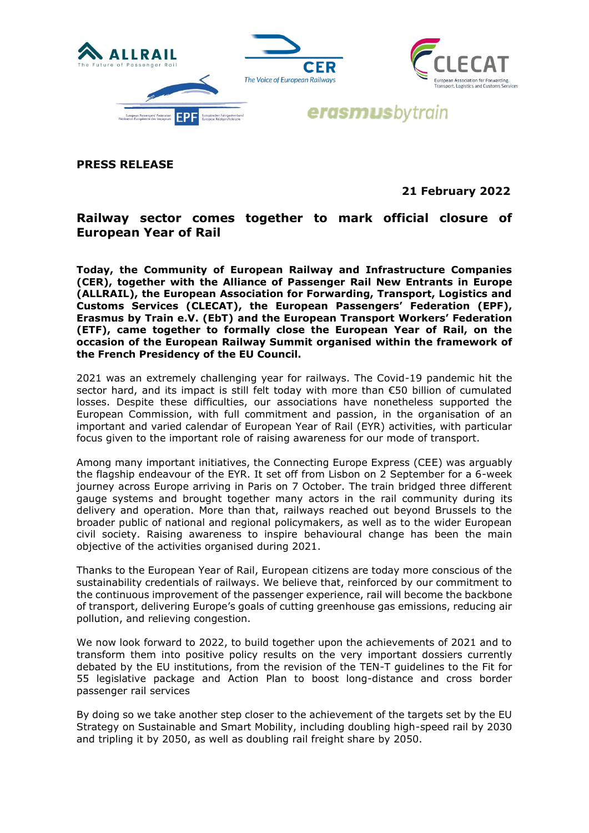

**PRESS RELEASE**

**21 February 2022**

## **Railway sector comes together to mark official closure of European Year of Rail**

**Today, the Community of European Railway and Infrastructure Companies (CER), together with the Alliance of Passenger Rail New Entrants in Europe (ALLRAIL), the European Association for Forwarding, Transport, Logistics and Customs Services (CLECAT), the European Passengers' Federation (EPF), Erasmus by Train e.V. (EbT) and the European Transport Workers' Federation (ETF), came together to formally close the European Year of Rail, on the occasion of the European Railway Summit organised within the framework of the French Presidency of the EU Council.** 

2021 was an extremely challenging year for railways. The Covid-19 pandemic hit the sector hard, and its impact is still felt today with more than €50 billion of cumulated losses. Despite these difficulties, our associations have nonetheless supported the European Commission, with full commitment and passion, in the organisation of an important and varied calendar of European Year of Rail (EYR) activities, with particular focus given to the important role of raising awareness for our mode of transport.

Among many important initiatives, the Connecting Europe Express (CEE) was arguably the flagship endeavour of the EYR. It set off from Lisbon on 2 September for a 6-week journey across Europe arriving in Paris on 7 October. The train bridged three different gauge systems and brought together many actors in the rail community during its delivery and operation. More than that, railways reached out beyond Brussels to the broader public of national and regional policymakers, as well as to the wider European civil society. Raising awareness to inspire behavioural change has been the main objective of the activities organised during 2021.

Thanks to the European Year of Rail, European citizens are today more conscious of the sustainability credentials of railways. We believe that, reinforced by our commitment to the continuous improvement of the passenger experience, rail will become the backbone of transport, delivering Europe's goals of cutting greenhouse gas emissions, reducing air pollution, and relieving congestion.

We now look forward to 2022, to build together upon the achievements of 2021 and to transform them into positive policy results on the very important dossiers currently debated by the EU institutions, from the revision of the TEN-T guidelines to the Fit for 55 legislative package and Action Plan to boost long-distance and cross border passenger rail services

By doing so we take another step closer to the achievement of the targets set by the EU Strategy on Sustainable and Smart Mobility, including doubling high-speed rail by 2030 and tripling it by 2050, as well as doubling rail freight share by 2050.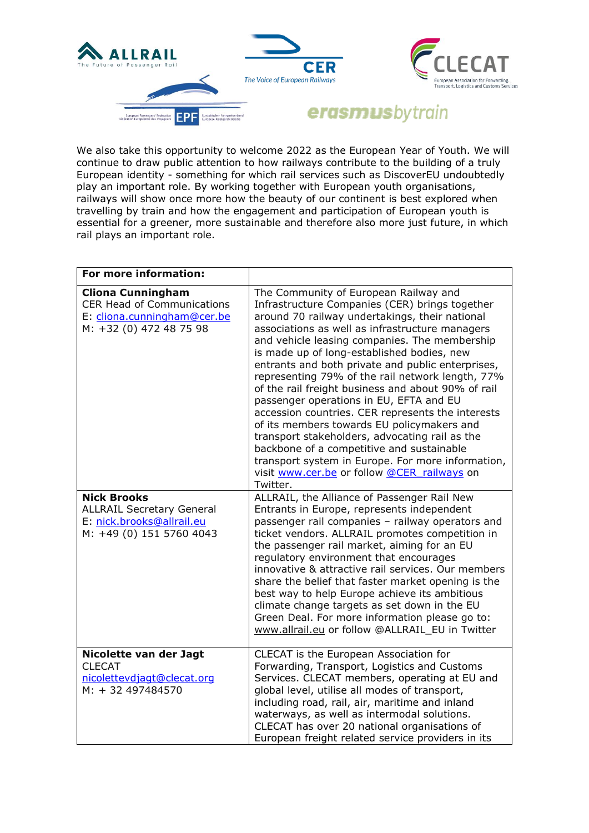

We also take this opportunity to welcome 2022 as the European Year of Youth. We will continue to draw public attention to how railways contribute to the building of a truly European identity - something for which rail services such as DiscoverEU undoubtedly play an important role. By working together with European youth organisations, railways will show once more how the beauty of our continent is best explored when travelling by train and how the engagement and participation of European youth is essential for a greener, more sustainable and therefore also more just future, in which rail plays an important role.

| For more information:                                                                                                   |                                                                                                                                                                                                                                                                                                                                                                                                                                                                                                                                                                                                                                                                                                                                                                                                                         |
|-------------------------------------------------------------------------------------------------------------------------|-------------------------------------------------------------------------------------------------------------------------------------------------------------------------------------------------------------------------------------------------------------------------------------------------------------------------------------------------------------------------------------------------------------------------------------------------------------------------------------------------------------------------------------------------------------------------------------------------------------------------------------------------------------------------------------------------------------------------------------------------------------------------------------------------------------------------|
| <b>Cliona Cunningham</b><br><b>CER Head of Communications</b><br>E: cliona.cunningham@cer.be<br>M: +32 (0) 472 48 75 98 | The Community of European Railway and<br>Infrastructure Companies (CER) brings together<br>around 70 railway undertakings, their national<br>associations as well as infrastructure managers<br>and vehicle leasing companies. The membership<br>is made up of long-established bodies, new<br>entrants and both private and public enterprises,<br>representing 79% of the rail network length, 77%<br>of the rail freight business and about 90% of rail<br>passenger operations in EU, EFTA and EU<br>accession countries. CER represents the interests<br>of its members towards EU policymakers and<br>transport stakeholders, advocating rail as the<br>backbone of a competitive and sustainable<br>transport system in Europe. For more information,<br>visit www.cer.be or follow @CER railways on<br>Twitter. |
| <b>Nick Brooks</b><br><b>ALLRAIL Secretary General</b><br>E: nick.brooks@allrail.eu<br>M: +49 (0) 151 5760 4043         | ALLRAIL, the Alliance of Passenger Rail New<br>Entrants in Europe, represents independent<br>passenger rail companies - railway operators and<br>ticket vendors. ALLRAIL promotes competition in<br>the passenger rail market, aiming for an EU<br>regulatory environment that encourages<br>innovative & attractive rail services. Our members<br>share the belief that faster market opening is the<br>best way to help Europe achieve its ambitious<br>climate change targets as set down in the EU<br>Green Deal. For more information please go to:<br>www.allrail.eu or follow @ALLRAIL_EU in Twitter                                                                                                                                                                                                             |
| Nicolette van der Jagt<br><b>CLECAT</b><br>nicolettevdjagt@clecat.org<br>M: + 32 497484570                              | CLECAT is the European Association for<br>Forwarding, Transport, Logistics and Customs<br>Services. CLECAT members, operating at EU and<br>global level, utilise all modes of transport,<br>including road, rail, air, maritime and inland<br>waterways, as well as intermodal solutions.<br>CLECAT has over 20 national organisations of<br>European freight related service providers in its                                                                                                                                                                                                                                                                                                                                                                                                                          |